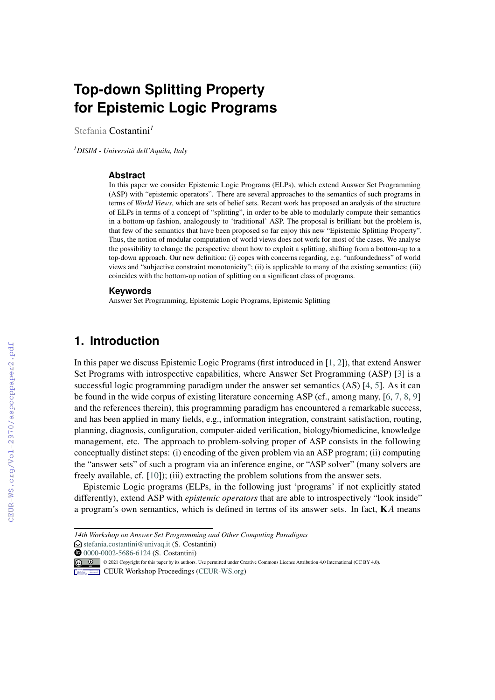# **Top-down Splitting Property for Epistemic Logic Programs**

Stefania Costantini*<sup>1</sup>*

*<sup>1</sup>DISIM - Università dell'Aquila, Italy*

#### **Abstract**

In this paper we consider Epistemic Logic Programs (ELPs), which extend Answer Set Programming (ASP) with "epistemic operators". There are several approaches to the semantics of such programs in terms of *World Views*, which are sets of belief sets. Recent work has proposed an analysis of the structure of ELPs in terms of a concept of "splitting", in order to be able to modularly compute their semantics in a bottom-up fashion, analogously to 'traditional' ASP. The proposal is brilliant but the problem is, that few of the semantics that have been proposed so far enjoy this new "Epistemic Splitting Property". Thus, the notion of modular computation of world views does not work for most of the cases. We analyse the possibility to change the perspective about how to exploit a splitting, shifting from a bottom-up to a top-down approach. Our new definition: (i) copes with concerns regarding, e.g. "unfoundedness" of world views and "subjective constraint monotonicity"; (ii) is applicable to many of the existing semantics; (iii) coincides with the bottom-up notion of splitting on a significant class of programs.

#### **Keywords**

Answer Set Programming, Epistemic Logic Programs, Epistemic Splitting

# **1. Introduction**

In this paper we discuss Epistemic Logic Programs (first introduced in [\[1,](#page--1-0) [2\]](#page--1-1)), that extend Answer Set Programs with introspective capabilities, where Answer Set Programming (ASP) [\[3\]](#page--1-2) is a successful logic programming paradigm under the answer set semantics (AS) [\[4,](#page--1-3) [5\]](#page--1-4). As it can be found in the wide corpus of existing literature concerning ASP (cf., among many, [\[6,](#page--1-5) [7,](#page--1-6) [8,](#page--1-7) [9\]](#page--1-8) and the references therein), this programming paradigm has encountered a remarkable success, and has been applied in many fields, e.g., information integration, constraint satisfaction, routing, planning, diagnosis, configuration, computer-aided verification, biology/biomedicine, knowledge management, etc. The approach to problem-solving proper of ASP consists in the following conceptually distinct steps: (i) encoding of the given problem via an ASP program; (ii) computing the "answer sets" of such a program via an inference engine, or "ASP solver" (many solvers are freely available, cf. [\[10\]](#page--1-9)); (iii) extracting the problem solutions from the answer sets.

Epistemic Logic programs (ELPs, in the following just 'programs' if not explicitly stated differently), extend ASP with *epistemic operators* that are able to introspectively "look inside" a program's own semantics, which is defined in terms of its answer sets. In fact,  $KA$  means

**10** [0000-0002-5686-6124](https://orcid.org/0000-0002-5686-6124) (S. Costantini)

*<sup>14</sup>th Workshop on Answer Set Programming and Other Computing Paradigms*

 $\bigcirc$  [stefania.costantini@univaq.it](mailto:stefania.costantini@univaq.it) (S. Costantini)

**Co 0 0** 2021 Copyright for this paper by its authors. Use permitted under Creative Commons License Attribution 4.0 International (CC BY 4.0).

**CEUR Workshop [Proceedings](http://ceur-ws.org) [\(CEUR-WS.org\)](http://ceur-ws.org)**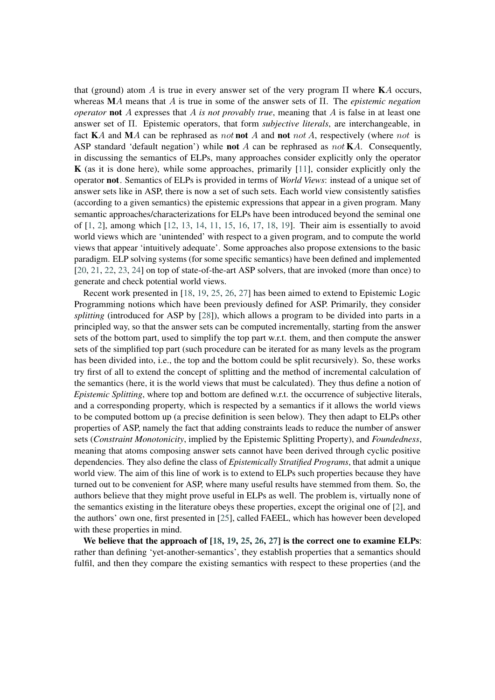that (ground) atom A is true in every answer set of the very program  $\Pi$  where KA occurs, whereas  $MA$  means that A is true in some of the answer sets of  $\Pi$ . The *epistemic negation operator* not A expresses that A is not provably true, meaning that A is false in at least one answer set of Π. Epistemic operators, that form *subjective literals*, are interchangeable, in fact  $\mathbf{K}A$  and  $\mathbf{M}A$  can be rephrased as *not* not A and not *not* A, respectively (where *not* is ASP standard 'default negation') while **not** A can be rephrased as  $not **K**A$ . Consequently, in discussing the semantics of ELPs, many approaches consider explicitly only the operator  $K$  (as it is done here), while some approaches, primarily  $[11]$ , consider explicitly only the operator not. Semantics of ELPs is provided in terms of *World Views*: instead of a unique set of answer sets like in ASP, there is now a set of such sets. Each world view consistently satisfies (according to a given semantics) the epistemic expressions that appear in a given program. Many semantic approaches/characterizations for ELPs have been introduced beyond the seminal one of [\[1,](#page-13-1) [2\]](#page-13-2), among which [\[12,](#page-13-3) [13,](#page-13-4) [14,](#page-13-5) [11,](#page-13-0) [15,](#page-13-6) [16,](#page-14-0) [17,](#page-14-1) [18,](#page-14-2) [19\]](#page-14-3). Their aim is essentially to avoid world views which are 'unintended' with respect to a given program, and to compute the world views that appear 'intuitively adequate'. Some approaches also propose extensions to the basic paradigm. ELP solving systems (for some specific semantics) have been defined and implemented [\[20,](#page-14-4) [21,](#page-14-5) [22,](#page-14-6) [23,](#page-14-7) [24\]](#page-14-8) on top of state-of-the-art ASP solvers, that are invoked (more than once) to generate and check potential world views.

Recent work presented in [\[18,](#page-14-2) [19,](#page-14-3) [25,](#page-14-9) [26,](#page-14-10) [27\]](#page-14-11) has been aimed to extend to Epistemic Logic Programming notions which have been previously defined for ASP. Primarily, they consider *splitting* (introduced for ASP by [\[28\]](#page-14-12)), which allows a program to be divided into parts in a principled way, so that the answer sets can be computed incrementally, starting from the answer sets of the bottom part, used to simplify the top part w.r.t. them, and then compute the answer sets of the simplified top part (such procedure can be iterated for as many levels as the program has been divided into, i.e., the top and the bottom could be split recursively). So, these works try first of all to extend the concept of splitting and the method of incremental calculation of the semantics (here, it is the world views that must be calculated). They thus define a notion of *Epistemic Splitting*, where top and bottom are defined w.r.t. the occurrence of subjective literals, and a corresponding property, which is respected by a semantics if it allows the world views to be computed bottom up (a precise definition is seen below). They then adapt to ELPs other properties of ASP, namely the fact that adding constraints leads to reduce the number of answer sets (*Constraint Monotonicity*, implied by the Epistemic Splitting Property), and *Foundedness*, meaning that atoms composing answer sets cannot have been derived through cyclic positive dependencies. They also define the class of *Epistemically Stratified Programs*, that admit a unique world view. The aim of this line of work is to extend to ELPs such properties because they have turned out to be convenient for ASP, where many useful results have stemmed from them. So, the authors believe that they might prove useful in ELPs as well. The problem is, virtually none of the semantics existing in the literature obeys these properties, except the original one of [\[2\]](#page-13-2), and the authors' own one, first presented in [\[25\]](#page-14-9), called FAEEL, which has however been developed with these properties in mind.

We believe that the approach of [\[18,](#page-14-2) [19,](#page-14-3) [25,](#page-14-9) [26,](#page-14-10) [27\]](#page-14-11) is the correct one to examine ELPs: rather than defining 'yet-another-semantics', they establish properties that a semantics should fulfil, and then they compare the existing semantics with respect to these properties (and the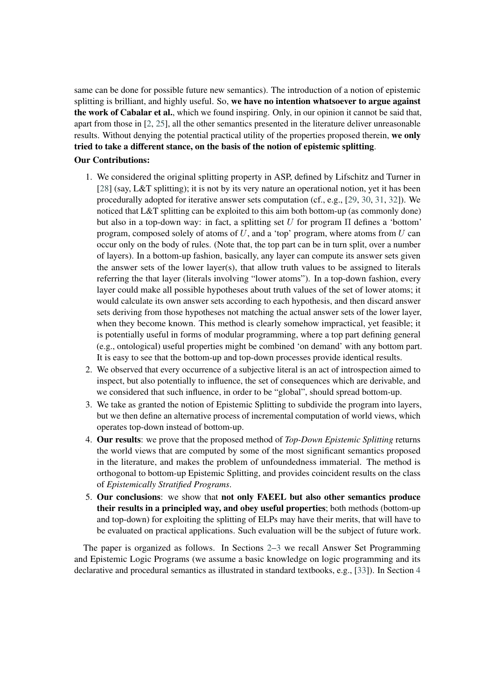same can be done for possible future new semantics). The introduction of a notion of epistemic splitting is brilliant, and highly useful. So, we have no intention whatsoever to argue against the work of Cabalar et al., which we found inspiring. Only, in our opinion it cannot be said that, apart from those in [\[2,](#page-13-2) [25\]](#page-14-9), all the other semantics presented in the literature deliver unreasonable results. Without denying the potential practical utility of the properties proposed therein, we only tried to take a different stance, on the basis of the notion of epistemic splitting.

#### Our Contributions:

- 1. We considered the original splitting property in ASP, defined by Lifschitz and Turner in [\[28\]](#page-14-12) (say, L&T splitting); it is not by its very nature an operational notion, yet it has been procedurally adopted for iterative answer sets computation (cf., e.g., [\[29,](#page-14-13) [30,](#page-15-0) [31,](#page-15-1) [32\]](#page-15-2)). We noticed that L&T splitting can be exploited to this aim both bottom-up (as commonly done) but also in a top-down way: in fact, a splitting set  $U$  for program  $\Pi$  defines a 'bottom' program, composed solely of atoms of  $U$ , and a 'top' program, where atoms from  $U$  can occur only on the body of rules. (Note that, the top part can be in turn split, over a number of layers). In a bottom-up fashion, basically, any layer can compute its answer sets given the answer sets of the lower layer(s), that allow truth values to be assigned to literals referring the that layer (literals involving "lower atoms"). In a top-down fashion, every layer could make all possible hypotheses about truth values of the set of lower atoms; it would calculate its own answer sets according to each hypothesis, and then discard answer sets deriving from those hypotheses not matching the actual answer sets of the lower layer, when they become known. This method is clearly somehow impractical, yet feasible; it is potentially useful in forms of modular programming, where a top part defining general (e.g., ontological) useful properties might be combined 'on demand' with any bottom part. It is easy to see that the bottom-up and top-down processes provide identical results.
- 2. We observed that every occurrence of a subjective literal is an act of introspection aimed to inspect, but also potentially to influence, the set of consequences which are derivable, and we considered that such influence, in order to be "global", should spread bottom-up.
- 3. We take as granted the notion of Epistemic Splitting to subdivide the program into layers, but we then define an alternative process of incremental computation of world views, which operates top-down instead of bottom-up.
- 4. Our results: we prove that the proposed method of *Top-Down Epistemic Splitting* returns the world views that are computed by some of the most significant semantics proposed in the literature, and makes the problem of unfoundedness immaterial. The method is orthogonal to bottom-up Epistemic Splitting, and provides coincident results on the class of *Epistemically Stratified Programs*.
- 5. Our conclusions: we show that not only FAEEL but also other semantics produce their results in a principled way, and obey useful properties; both methods (bottom-up and top-down) for exploiting the splitting of ELPs may have their merits, that will have to be evaluated on practical applications. Such evaluation will be the subject of future work.

The paper is organized as follows. In Sections [2](#page-3-0)[–3](#page-3-1) we recall Answer Set Programming and Epistemic Logic Programs (we assume a basic knowledge on logic programming and its declarative and procedural semantics as illustrated in standard textbooks, e.g., [\[33\]](#page-15-3)). In Section [4](#page-4-0)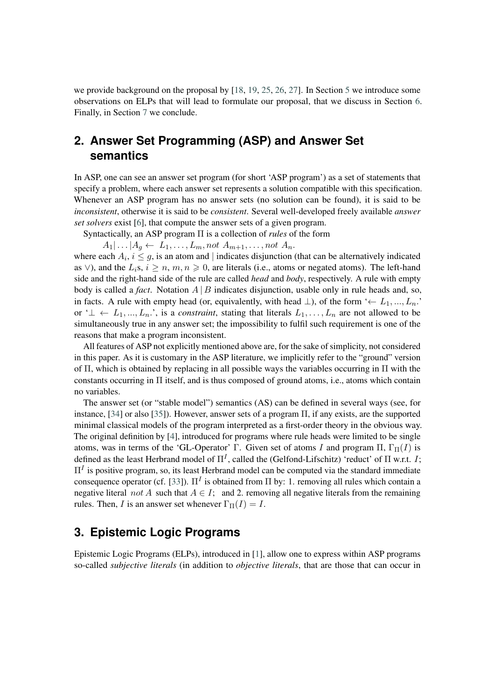we provide background on the proposal by [\[18,](#page-14-2) [19,](#page-14-3) [25,](#page-14-9) [26,](#page-14-10) [27\]](#page-14-11). In Section [5](#page-6-0) we introduce some observations on ELPs that will lead to formulate our proposal, that we discuss in Section [6.](#page-11-0) Finally, in Section [7](#page-12-0) we conclude.

# <span id="page-3-0"></span>**2. Answer Set Programming (ASP) and Answer Set semantics**

In ASP, one can see an answer set program (for short 'ASP program') as a set of statements that specify a problem, where each answer set represents a solution compatible with this specification. Whenever an ASP program has no answer sets (no solution can be found), it is said to be *inconsistent*, otherwise it is said to be *consistent*. Several well-developed freely available *answer set solvers* exist [\[6\]](#page-13-7), that compute the answer sets of a given program.

Syntactically, an ASP program Π is a collection of *rules* of the form

 $A_1 | \dots | A_g \leftarrow L_1, \dots, L_m, not A_{m+1}, \dots, not A_n.$ 

where each  $A_i$ ,  $i \leq g$ , is an atom and | indicates disjunction (that can be alternatively indicated as  $\vee$ ), and the  $L_i$ s,  $i \geq n, m, n \geq 0$ , are literals (i.e., atoms or negated atoms). The left-hand side and the right-hand side of the rule are called *head* and *body*, respectively. A rule with empty body is called a *fact*. Notation  $A \mid B$  indicates disjunction, usable only in rule heads and, so, in facts. A rule with empty head (or, equivalently, with head  $\perp$ ), of the form '←  $L_1, ..., L_n$ . or ' $\perp \leftarrow L_1, ..., L_n$ ', is a *constraint*, stating that literals  $L_1, ..., L_n$  are not allowed to be simultaneously true in any answer set; the impossibility to fulfil such requirement is one of the reasons that make a program inconsistent.

All features of ASP not explicitly mentioned above are, for the sake of simplicity, not considered in this paper. As it is customary in the ASP literature, we implicitly refer to the "ground" version of  $\Pi$ , which is obtained by replacing in all possible ways the variables occurring in  $\Pi$  with the constants occurring in Π itself, and is thus composed of ground atoms, i.e., atoms which contain no variables.

The answer set (or "stable model") semantics (AS) can be defined in several ways (see, for instance,  $[34]$  or also  $[35]$ ). However, answer sets of a program  $\Pi$ , if any exists, are the supported minimal classical models of the program interpreted as a first-order theory in the obvious way. The original definition by [\[4\]](#page-13-8), introduced for programs where rule heads were limited to be single atoms, was in terms of the 'GL-Operator' Γ. Given set of atoms I and program Π,  $\Gamma_{\Pi}(I)$  is defined as the least Herbrand model of  $\Pi^I$ , called the (Gelfond-Lifschitz) 'reduct' of  $\Pi$  w.r.t. *I*;  $\Pi^{I}$  is positive program, so, its least Herbrand model can be computed via the standard immediate consequence operator (cf. [\[33\]](#page-15-3)).  $\Pi^I$  is obtained from  $\Pi$  by: 1. removing all rules which contain a negative literal not A such that  $A \in I$ ; and 2. removing all negative literals from the remaining rules. Then, I is an answer set whenever  $\Gamma_{\Pi}(I) = I$ .

## <span id="page-3-1"></span>**3. Epistemic Logic Programs**

Epistemic Logic Programs (ELPs), introduced in [\[1\]](#page-13-1), allow one to express within ASP programs so-called *subjective literals* (in addition to *objective literals*, that are those that can occur in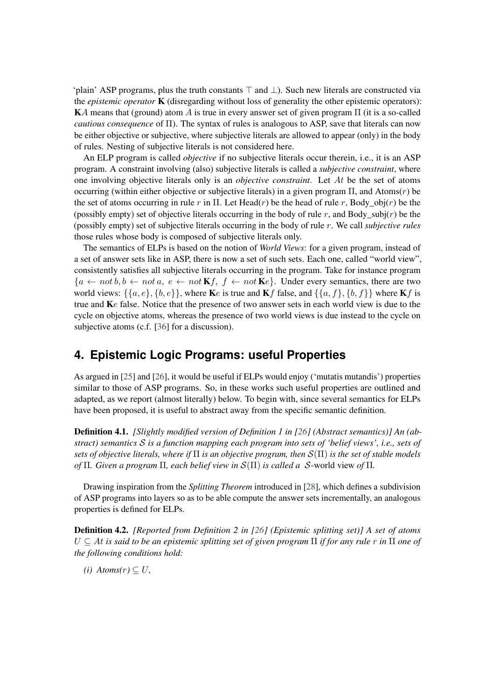'plain' ASP programs, plus the truth constants  $\top$  and  $\bot$ ). Such new literals are constructed via the *epistemic operator* K (disregarding without loss of generality the other epistemic operators): KA means that (ground) atom A is true in every answer set of given program  $\Pi$  (it is a so-called *cautious consequence* of Π). The syntax of rules is analogous to ASP, save that literals can now be either objective or subjective, where subjective literals are allowed to appear (only) in the body of rules. Nesting of subjective literals is not considered here.

An ELP program is called *objective* if no subjective literals occur therein, i.e., it is an ASP program. A constraint involving (also) subjective literals is called a *subjective constraint*, where one involving objective literals only is an *objective constraint*. Let At be the set of atoms occurring (within either objective or subjective literals) in a given program  $\Pi$ , and Atoms $(r)$  be the set of atoms occurring in rule r in Π. Let Head(r) be the head of rule r, Body\_obj(r) be the (possibly empty) set of objective literals occurring in the body of rule r, and Body\_subj(r) be the (possibly empty) set of subjective literals occurring in the body of rule . We call *subjective rules* those rules whose body is composed of subjective literals only.

The semantics of ELPs is based on the notion of *World Views*: for a given program, instead of a set of answer sets like in ASP, there is now a set of such sets. Each one, called "world view", consistently satisfies all subjective literals occurring in the program. Take for instance program  ${a \leftarrow not b, b \leftarrow not a, e \leftarrow not Kf, f \leftarrow not Ke}.$  Under every semantics, there are two world views:  $\{\{a, e\}, \{b, e\}\}\,$ , where **K** $e$  is true and **K** $f$  false, and  $\{\{a, f\}, \{b, f\}\}\,$  where **K** $f$  is true and  $\mathbf{K}e$  false. Notice that the presence of two answer sets in each world view is due to the cycle on objective atoms, whereas the presence of two world views is due instead to the cycle on subjective atoms (c.f. [\[36\]](#page-15-6) for a discussion).

## <span id="page-4-0"></span>**4. Epistemic Logic Programs: useful Properties**

As argued in [\[25\]](#page-14-9) and [\[26\]](#page-14-10), it would be useful if ELPs would enjoy ('mutatis mutandis') properties similar to those of ASP programs. So, in these works such useful properties are outlined and adapted, as we report (almost literally) below. To begin with, since several semantics for ELPs have been proposed, it is useful to abstract away from the specific semantic definition.

Definition 4.1. *[Slightly modified version of Definition 1 in [\[26\]](#page-14-10) (Abstract semantics)] An (abstract) semantics is a function mapping each program into sets of 'belief views', i.e., sets of sets of objective literals, where if*  $\Pi$  *is an objective program, then*  $S(\Pi)$  *is the set of stable models of*  $\Pi$ *. Given a program*  $\Pi$ *, each belief view in*  $\mathcal{S}(\Pi)$  *is called a*  $\mathcal{S}$ -world view *of*  $\Pi$ *.* 

Drawing inspiration from the *Splitting Theorem* introduced in [\[28\]](#page-14-12), which defines a subdivision of ASP programs into layers so as to be able compute the answer sets incrementally, an analogous properties is defined for ELPs.

<span id="page-4-1"></span>Definition 4.2. *[Reported from Definition 2 in [\[26\]](#page-14-10) (Epistemic splitting set)] A set of atoms* ⊆ *is said to be an epistemic splitting set of given program* Π *if for any rule in* Π *one of the following conditions hold:*

*(i) Atoms(r)* ⊆  $U$ ,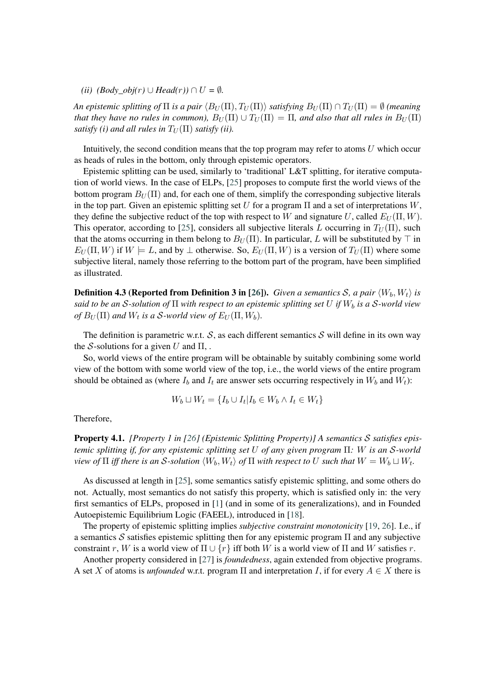*(ii)*  $(Body\ obj(r) \cup Head(r)) \cap U = ∅.$ 

*An epistemic splitting of*  $\Pi$  *is a pair*  $\langle B_U(\Pi), T_U(\Pi) \rangle$  *satisfying*  $B_U(\Pi) \cap T_U(\Pi) = \emptyset$  *(meaning*) *that they have no rules in common),*  $B_U(\Pi) \cup T_U(\Pi) = \Pi$ *, and also that all rules in*  $B_U(\Pi)$ *satisfy (i) and all rules in*  $T_U(\Pi)$  *satisfy (ii).* 

Intuitively, the second condition means that the top program may refer to atoms  $U$  which occur as heads of rules in the bottom, only through epistemic operators.

Epistemic splitting can be used, similarly to 'traditional' L&T splitting, for iterative computation of world views. In the case of ELPs, [\[25\]](#page-14-9) proposes to compute first the world views of the bottom program  $B_U(\Pi)$  and, for each one of them, simplify the corresponding subjective literals in the top part. Given an epistemic splitting set  $U$  for a program  $\Pi$  and a set of interpretations  $W$ , they define the subjective reduct of the top with respect to W and signature U, called  $E_U(\Pi, W)$ . This operator, according to [\[25\]](#page-14-9), considers all subjective literals L occurring in  $T_U(\Pi)$ , such that the atoms occurring in them belong to  $B_U(\Pi)$ . In particular, L will be substituted by  $\top$  in  $E_U(\Pi, W)$  if  $W \models L$ , and by  $\perp$  otherwise. So,  $E_U(\Pi, W)$  is a version of  $T_U(\Pi)$  where some subjective literal, namely those referring to the bottom part of the program, have been simplified as illustrated.

**Definition 4.3 (Reported from Definition 3 in [\[26\]](#page-14-10)).** *Given a semantics S, a pair*  $\langle W_b, W_t \rangle$  *is said to be an S*-solution of  $\Pi$  with respect to an epistemic splitting set U if  $W_b$  is a S-world view *of*  $B_U(\Pi)$  and  $W_t$  is a S-world view of  $E_U(\Pi, W_b)$ .

The definition is parametric w.r.t.  $S$ , as each different semantics  $S$  will define in its own way the S-solutions for a given U and  $\Pi$ ,.

So, world views of the entire program will be obtainable by suitably combining some world view of the bottom with some world view of the top, i.e., the world views of the entire program should be obtained as (where  $I_b$  and  $I_t$  are answer sets occurring respectively in  $W_b$  and  $W_t$ ):

$$
W_b \sqcup W_t = \{I_b \cup I_t | I_b \in W_b \land I_t \in W_t\}
$$

Therefore,

Property 4.1. *[Property 1 in [\[26\]](#page-14-10) (Epistemic Splitting Property)] A semantics satisfies epistemic splitting if, for any epistemic splitting set of any given program* Π*: is an -world view of*  $\Pi$  *iff there is an S-solution*  $\langle W_b,W_t\rangle$  *of*  $\Pi$  *with respect to*  $U$  *such that*  $W=W_b\sqcup W_t.$ 

As discussed at length in [\[25\]](#page-14-9), some semantics satisfy epistemic splitting, and some others do not. Actually, most semantics do not satisfy this property, which is satisfied only in: the very first semantics of ELPs, proposed in [\[1\]](#page-13-1) (and in some of its generalizations), and in Founded Autoepistemic Equilibrium Logic (FAEEL), introduced in [\[18\]](#page-14-2).

The property of epistemic splitting implies *subjective constraint monotonicity* [\[19,](#page-14-3) [26\]](#page-14-10). I.e., if a semantics  $\mathcal S$  satisfies epistemic splitting then for any epistemic program  $\Pi$  and any subjective constraint r, W is a world view of  $\Pi \cup \{r\}$  iff both W is a world view of  $\Pi$  and W satisfies r.

Another property considered in [\[27\]](#page-14-11) is *foundedness*, again extended from objective programs. A set X of atoms is *unfounded* w.r.t. program  $\Pi$  and interpretation I, if for every  $A \in X$  there is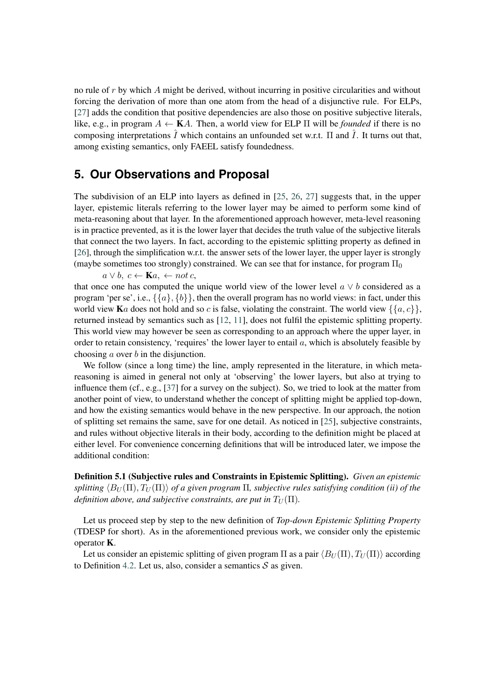no rule of  $r$  by which  $\tilde{A}$  might be derived, without incurring in positive circularities and without forcing the derivation of more than one atom from the head of a disjunctive rule. For ELPs, [\[27\]](#page-14-11) adds the condition that positive dependencies are also those on positive subjective literals, like, e.g., in program  $A \leftarrow \mathbf{K}A$ . Then, a world view for ELP  $\Pi$  will be *founded* if there is no composing interpretations  $\hat{I}$  which contains an unfounded set w.r.t.  $\Pi$  and  $\hat{I}$ . It turns out that, among existing semantics, only FAEEL satisfy foundedness.

## <span id="page-6-0"></span>**5. Our Observations and Proposal**

The subdivision of an ELP into layers as defined in [\[25,](#page-14-9) [26,](#page-14-10) [27\]](#page-14-11) suggests that, in the upper layer, epistemic literals referring to the lower layer may be aimed to perform some kind of meta-reasoning about that layer. In the aforementioned approach however, meta-level reasoning is in practice prevented, as it is the lower layer that decides the truth value of the subjective literals that connect the two layers. In fact, according to the epistemic splitting property as defined in [\[26\]](#page-14-10), through the simplification w.r.t. the answer sets of the lower layer, the upper layer is strongly (maybe sometimes too strongly) constrained. We can see that for instance, for program  $\Pi_0$ 

 $a \vee b, c \leftarrow \mathbf{K}a, \leftarrow not \, c,$ 

that once one has computed the unique world view of the lower level  $a \vee b$  considered as a program 'per se', i.e.,  $\{\{a\}, \{b\}\}\$ , then the overall program has no world views: in fact, under this world view Ka does not hold and so c is false, violating the constraint. The world view  $\{\{a, c\}\}\,$ , returned instead by semantics such as [\[12,](#page-13-3) [11\]](#page-13-0), does not fulfil the epistemic splitting property. This world view may however be seen as corresponding to an approach where the upper layer, in order to retain consistency, 'requires' the lower layer to entail  $a$ , which is absolutely feasible by choosing  $\alpha$  over  $\beta$  in the disjunction.

We follow (since a long time) the line, amply represented in the literature, in which metareasoning is aimed in general not only at 'observing' the lower layers, but also at trying to influence them (cf., e.g., [\[37\]](#page-15-7) for a survey on the subject). So, we tried to look at the matter from another point of view, to understand whether the concept of splitting might be applied top-down, and how the existing semantics would behave in the new perspective. In our approach, the notion of splitting set remains the same, save for one detail. As noticed in [\[25\]](#page-14-9), subjective constraints, and rules without objective literals in their body, according to the definition might be placed at either level. For convenience concerning definitions that will be introduced later, we impose the additional condition:

Definition 5.1 (Subjective rules and Constraints in Epistemic Splitting). *Given an epistemic*  $splitting \langle B_{II}(\Pi), T_{II}(\Pi) \rangle$  *of a given program*  $\Pi$ , *subjective rules satisfying condition (ii) of the definition above, and subjective constraints, are put in*  $T_U(\Pi)$ *.* 

Let us proceed step by step to the new definition of *Top-down Epistemic Splitting Property* (TDESP for short). As in the aforementioned previous work, we consider only the epistemic operator K.

Let us consider an epistemic splitting of given program  $\Pi$  as a pair  $\langle B_U(\Pi), T_U(\Pi) \rangle$  according to Definition [4.2.](#page-4-1) Let us, also, consider a semantics  $S$  as given.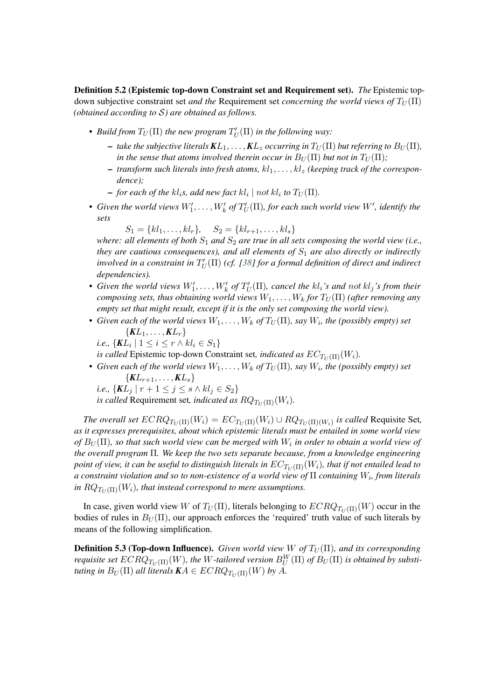Definition 5.2 (Epistemic top-down Constraint set and Requirement set). *The* Epistemic topdown subjective constraint set *and the* Requirement set *concerning the world views of*  $T_U(\Pi)$ *(obtained according to S) are obtained as follows.* 

- Build from  $T_U(\Pi)$  the new program  $T'_U(\Pi)$  in the following way:
	- $-$  *take the subjective literals*  $KL_1, \ldots, KL_z$  *occurring in*  $T_U(\Pi)$  *but referring to*  $B_U(\Pi)$ *, in the sense that atoms involved therein occur in*  $B_U(\Pi)$  *but not in*  $T_U(\Pi)$ *;*
	- $-$  *transform such literals into fresh atoms, kl*<sub>1</sub>, ..., *kl<sub>2</sub>* (*keeping track of the correspondence);*
	- for each of the kl<sub>i</sub>s, add new fact  $kl_i \mid not\ kl_i$  to  $T_U(\Pi).$
- Given the world views  $W'_1,\ldots,W'_k$  of  $T'_U(\Pi)$ , for each such world view  $W'$ , identify the *sets*

 $S_1 = \{kl_1, \ldots, kl_r\}, \quad S_2 = \{kl_{r+1}, \ldots, kl_s\}$ 

*where: all elements of both*  $S_1$  *and*  $S_2$  *are true in all sets composing the world view (i.e., they are cautious consequences), and all elements of*  $S<sub>1</sub>$  *are also directly or indirectly*  $i$ nvolved in a constraint in  $T_U'(\Pi)$  (cf. [\[38\]](#page-15-8) for a formal definition of direct and indirect *dependencies).*

- Given the world views  $W'_1, \ldots, W'_k$  of  $T'_U(\Pi)$ , cancel the kl<sub>i</sub>'s and not kl<sub>j</sub>'s from their *composing sets, thus obtaining world views*  $W_1, \ldots, W_k$  for  $T_U(\Pi)$  (after removing any *empty set that might result, except if it is the only set composing the world view).*
- Given each of the world views  $W_1, \ldots, W_k$  of  $T_U(\Pi)$ , say  $W_i$ , the (possibly empty) set  $\{KL_1, \ldots, KL_r\}$ 
	- *i.e.,*  $\{KL_i \mid 1 \leq i \leq r \wedge kl_i \in S_1\}$

*is called* Epistemic top-down Constraint set, *indicated as*  $EC_{T_U(\Pi)}(W_i)$ .

• Given each of the world views  $W_1, \ldots, W_k$  of  $T_U(\Pi)$ , say  $W_i$ , the (possibly empty) set  ${KL_{r+1}, \ldots, KL_s}$ 

i.e., 
$$
\{KL_j \mid r+1 \leq j \leq s \land kl_j \in S_2\}
$$

*is called* Requirement set, *indicated as*  $RQ_{T_U(\Pi)}(W_i)$ .

*The overall set*  $ECRQ_{T_U(\Pi)}(W_i) = EC_{T_U(\Pi)}(W_i) \cup RQ_{T_U(\Pi)(W_i)}$  is called Requisite Set, *as it expresses prerequisites, about which epistemic literals must be entailed in some world view*  $of B_U(\Pi)$ , so that such world view can be merged with  $W_i$  in order to obtain a world view of *the overall program* Π*. We keep the two sets separate because, from a knowledge engineering point of view, it can be useful to distinguish literals in*  $EC_{T_U(\Pi)}(W_i)$ , that if not entailed lead to  $a$  constraint violation and so to non-existence of a world view of  $\Pi$  containing  $W_i$ , from literals *in*  $RQ_{T_U(\Pi)}(W_i)$ , that instead correspond to mere assumptions.

In case, given world view W of  $T_U(\Pi)$ , literals belonging to  $ECRQ_{T_U(\Pi)}(W)$  occur in the bodies of rules in  $B_U(\Pi)$ , our approach enforces the 'required' truth value of such literals by means of the following simplification.

**Definition 5.3 (Top-down Influence).** *Given world view*  $W$  of  $T_U(\Pi)$ *, and its corresponding requisite set*  $ECRQ_{T_U(\Pi)}(W)$ , the  $W$ -tailored version  $B^W_U(\Pi)$  of  $B_U(\Pi)$  is obtained by substi*tuting in*  $B_U(\Pi)$  *all literals*  $\mathbf{K}A \in ECRQ_{T_U(\Pi)}(W)$  by A.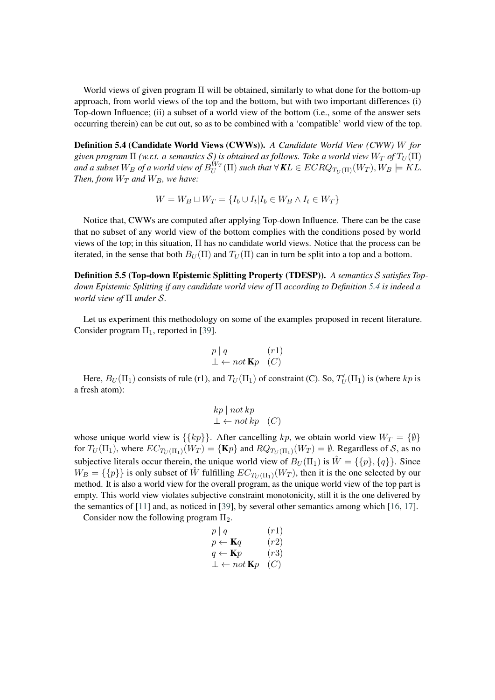World views of given program  $\Pi$  will be obtained, similarly to what done for the bottom-up approach, from world views of the top and the bottom, but with two important differences (i) Top-down Influence; (ii) a subset of a world view of the bottom (i.e., some of the answer sets occurring therein) can be cut out, so as to be combined with a 'compatible' world view of the top.

<span id="page-8-0"></span>Definition 5.4 (Candidate World Views (CWWs)). *A Candidate World View (CWW) for given program*  $\Pi$  *(w.r.t. a semantics S) is obtained as follows. Take a world view*  $W_T$  of  $T_U(\Pi)$ and a subset  $W_B$  of a world view of  $B_U^{W_T}(\Pi)$  such that  $\forall$   $\mathbf{K} L \in ECRQ_{T_U(\Pi)}(W_T), W_B \models KL$ . *Then, from*  $W_T$  *and*  $W_B$ *, we have:* 

$$
W = W_B \sqcup W_T = \{I_b \cup I_t | I_b \in W_B \land I_t \in W_T\}
$$

Notice that, CWWs are computed after applying Top-down Influence. There can be the case that no subset of any world view of the bottom complies with the conditions posed by world views of the top; in this situation, Π has no candidate world views. Notice that the process can be iterated, in the sense that both  $B_U(\Pi)$  and  $T_U(\Pi)$  can in turn be split into a top and a bottom.

Definition 5.5 (Top-down Epistemic Splitting Property (TDESP)). *A semantics satisfies Topdown Epistemic Splitting if any candidate world view of* Π *according to Definition [5.4](#page-8-0) is indeed a world view of* Π *under .*

Let us experiment this methodology on some of the examples proposed in recent literature. Consider program  $\Pi_1$ , reported in [\[39\]](#page-15-9).

$$
\begin{array}{ll}\np \mid q & (r1) \\
\bot \leftarrow not \mathbf{K}p & (C)\n\end{array}
$$

Here,  $B_U(\Pi_1)$  consists of rule (r1), and  $T_U(\Pi_1)$  of constraint (C). So,  $T'_U(\Pi_1)$  is (where kp is a fresh atom):

$$
kp \mid not\ kp
$$
  

$$
\bot \leftarrow not\ kp \quad (C)
$$

whose unique world view is  $\{\{kp\}\}\$ . After cancelling  $kp$ , we obtain world view  $W_T = \{\emptyset\}\$ for  $T_U(\Pi_1)$ , where  $EC_{T_U(\Pi_1)}(W_T) = \{ \mathbf{K}p \}$  and  $RQ_{T_U(\Pi_1)}(W_T) = \emptyset$ . Regardless of  $\mathcal{S}$ , as no subjective literals occur therein, the unique world view of  $B_U(\Pi_1)$  is  $\hat{W} = \{\{p\},\{q\}\}\.$  Since  $W_B = \{\{p\}\}\$ is only subset of  $\hat{W}$  fulfilling  $EC_{T_U(\Pi_1)}(W_T)$ , then it is the one selected by our method. It is also a world view for the overall program, as the unique world view of the top part is empty. This world view violates subjective constraint monotonicity, still it is the one delivered by the semantics of [\[11\]](#page-13-0) and, as noticed in [\[39\]](#page-15-9), by several other semantics among which [\[16,](#page-14-0) [17\]](#page-14-1).

Consider now the following program  $\Pi_2$ .

$$
p | q \t (r1)\n p \leftarrow \mathbf{K}q \t (r2)\n q \leftarrow \mathbf{K}p \t (r3)\n \perp \leftarrow not \mathbf{K}p \t (C)
$$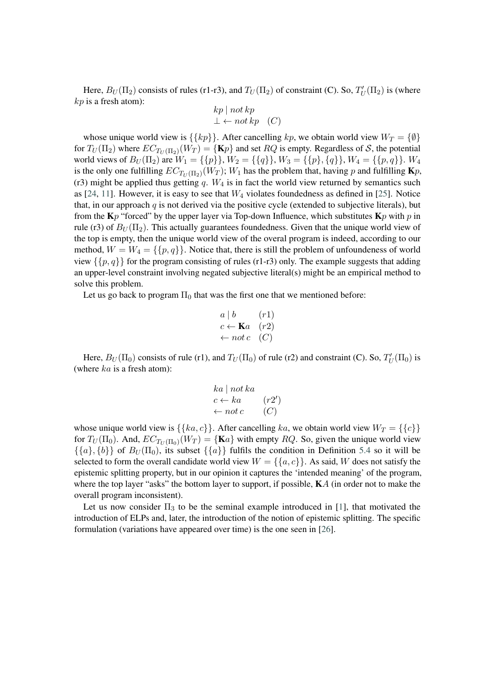Here,  $B_U(\Pi_2)$  consists of rules (r1-r3), and  $T_U(\Pi_2)$  of constraint (C). So,  $T'_U(\Pi_2)$  is (where  $kp$  is a fresh atom):  $\frac{1}{2}$   $\frac{1}{2}$   $\frac{1}{2}$   $\frac{1}{2}$   $\frac{1}{2}$   $\frac{1}{2}$ 

$$
\begin{array}{c}\nkp \mid not \, kp \\
\perp \leftarrow not \, kp \quad (C)\n\end{array}
$$

whose unique world view is  $\{\{kp\}\}\$ . After cancelling  $kp$ , we obtain world view  $W_T = \{\emptyset\}\$ for  $T_U(\Pi_2)$  where  $EC_{T_U(\Pi_2)}(W_T) = \{ \mathbf{K}p \}$  and set  $RQ$  is empty. Regardless of S, the potential world views of  $B_U(\Pi_2)$  are  $W_1 = \{\{p\}\}\$ ,  $W_2 = \{\{q\}\}\$ ,  $W_3 = \{\{p\}, \{q\}\}\$ ,  $W_4 = \{\{p,q\}\}\$ .  $W_4$ is the only one fulfilling  $EC_{T_U(\Pi_2)}(W_T); W_1$  has the problem that, having p and fulfilling  $\mathbf{K}p$ , (r3) might be applied thus getting  $q$ .  $W_4$  is in fact the world view returned by semantics such as [\[24,](#page-14-8) [11\]](#page-13-0). However, it is easy to see that  $W_4$  violates foundedness as defined in [\[25\]](#page-14-9). Notice that, in our approach  $q$  is not derived via the positive cycle (extended to subjective literals), but from the  $K_p$  "forced" by the upper layer via Top-down Influence, which substitutes  $K_p$  with  $p$  in rule (r3) of  $B_U(\Pi_2)$ . This actually guarantees foundedness. Given that the unique world view of the top is empty, then the unique world view of the overal program is indeed, according to our method,  $W = W_4 = \{\{p, q\}\}\.$  Notice that, there is still the problem of unfoundeness of world view  $\{\{p, q\}\}\$ for the program consisting of rules (r1-r3) only. The example suggests that adding an upper-level constraint involving negated subjective literal(s) might be an empirical method to solve this problem.

Let us go back to program  $\Pi_0$  that was the first one that we mentioned before:

$$
a \mid b \qquad (r1)
$$
  

$$
c \leftarrow \mathbf{K}a \quad (r2)
$$
  

$$
\leftarrow not \ c \quad (C)
$$

Here,  $B_U(\Pi_0)$  consists of rule (r1), and  $T_U(\Pi_0)$  of rule (r2) and constraint (C). So,  $T'_U(\Pi_0)$  is (where  $ka$  is a fresh atom):

$$
ka \mid not \ ka
$$
  

$$
c \leftarrow ka \qquad (r2')
$$
  

$$
\leftarrow not \ c \qquad (C)
$$

whose unique world view is  $\{\{ka, c\}\}\$ . After cancelling  $ka$ , we obtain world view  $W_T = \{\{c\}\}\$ for  $T_U(\Pi_0)$ . And,  $EC_{T_U(\Pi_0)}(W_T) = {\{\mathbf{K}a\}}$  with empty  $RQ$ . So, given the unique world view  $\{\{a\}, \{b\}\}\$  of  $B_U(\Pi_0)$ , its subset  $\{\{a\}\}\$  fulfils the condition in Definition [5.4](#page-8-0) so it will be selected to form the overall candidate world view  $W = \{\{a, c\}\}\.$  As said, W does not satisfy the epistemic splitting property, but in our opinion it captures the 'intended meaning' of the program, where the top layer "asks" the bottom layer to support, if possible,  $\mathbf{K}A$  (in order not to make the overall program inconsistent).

Let us now consider  $\Pi_3$  to be the seminal example introduced in [\[1\]](#page-13-1), that motivated the introduction of ELPs and, later, the introduction of the notion of epistemic splitting. The specific formulation (variations have appeared over time) is the one seen in [\[26\]](#page-14-10).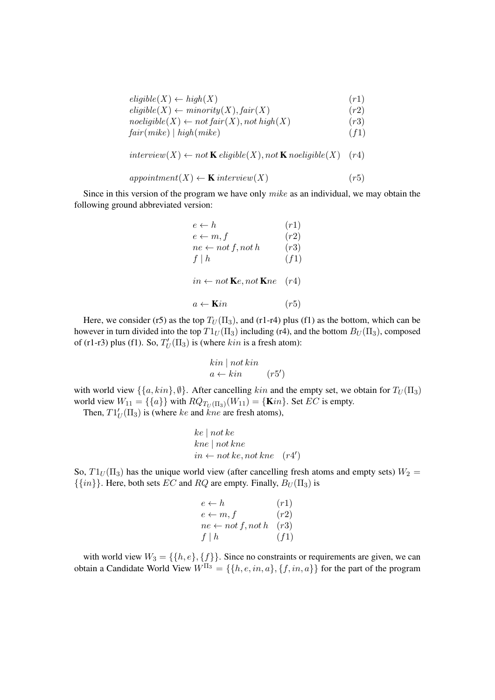| $eligible(X) \leftarrow high(X)$                                   | (r1) |
|--------------------------------------------------------------------|------|
| $\text{eligible}(X) \leftarrow \text{minority}(X), \text{fair}(X)$ | (r2) |
| $noeligible(X) \leftarrow not fair(X), not high(X)$                | (r3) |
| fair(mike)   high(mike)                                            | (f1) |

 $interview(X) \leftarrow not \mathbf{K} \text{ } eligible(X), not \mathbf{K} \text{ } no eligible(X) \quad (r4)$ 

$$
approximment(X) \leftarrow K\text{ interview}(X) \tag{r5}
$$

Since in this version of the program we have only mike as an individual, we may obtain the following ground abbreviated version:

| $e \leftarrow h$                                       | (r1) |
|--------------------------------------------------------|------|
| $e \leftarrow m, f$                                    | (r2) |
| $ne \leftarrow not f, not h$                           | (r3) |
| $f \mid h$                                             | (f1) |
| $in \leftarrow not \mathbf{K}e, not \mathbf{K}ne$ (r4) |      |
| $a \leftarrow$ Kin                                     | (r5) |

Here, we consider (r5) as the top  $T_U(\Pi_3)$ , and (r1-r4) plus (f1) as the bottom, which can be however in turn divided into the top  $T1_U(\Pi_3)$  including (r4), and the bottom  $B_U(\Pi_3)$ , composed of (r1-r3) plus (f1). So,  $T'_U(\Pi_3)$  is (where  $kin$  is a fresh atom):

$$
\begin{array}{c}\n\text{kin} \mid \text{not kin} \\
a \leftarrow \text{kin} \qquad (r5')\n\end{array}
$$

with world view  $\{\{a, kin\}, \emptyset\}$ . After cancelling  $kin$  and the empty set, we obtain for  $T_U(\Pi_3)$ world view  $W_{11} = \{\{a\}\}\$  with  $RQ_{T_U(\Pi_3)}(W_{11}) = \{\text{Kin}\}\$ . Set  $EC$  is empty.

Then,  $T1_U'(T_3)$  is (where ke and kne are fresh atoms),

$$
ke \mid not \, ke
$$
\n
$$
kne \mid not \, kne
$$
\n
$$
in \leftarrow not \, ke, not \, kne \quad (r4')
$$

So,  $T1_U(\Pi_3)$  has the unique world view (after cancelling fresh atoms and empty sets)  $W_2 =$  $\{\{in\}\}\$ . Here, both sets  $EC$  and  $RQ$  are empty. Finally,  $B_U(\Pi_3)$  is

$$
e \leftarrow h \qquad (r1)
$$
  
\n
$$
e \leftarrow m, f \qquad (r2)
$$
  
\n
$$
ne \leftarrow not \ f, not \ h \quad (r3)
$$
  
\n
$$
f \mid h \qquad (f1)
$$

with world view  $W_3 = \{\{h, e\}, \{\underline{f}\}\}\$ . Since no constraints or requirements are given, we can obtain a Candidate World View  $W^{\Pi_3} = \{ \{h, e, in, a\}, \{f, in, a\} \}$  for the part of the program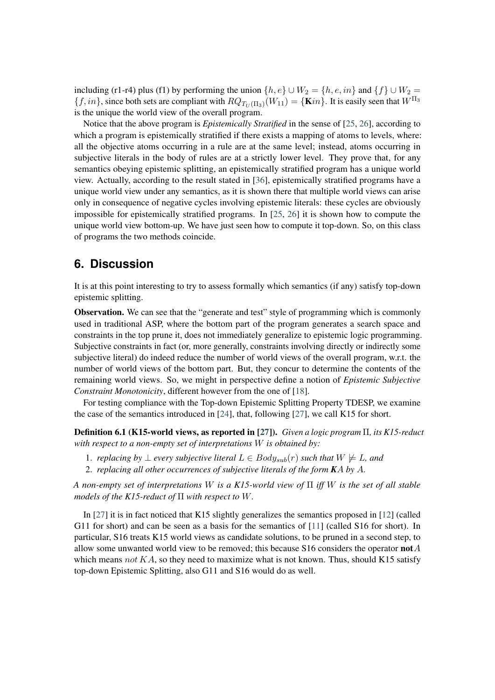including (r1-r4) plus (f1) by performing the union  $\{h, e\} \cup W_2 = \{h, e, in\}$  and  $\{f\} \cup W_2 =$  $\{f, in\}$ , since both sets are compliant with  $RQ_{T_U(\Pi_3)}(W_{11}) = \{\textbf{K}in\}$ . It is easily seen that  $W^{\Pi_3}$ is the unique the world view of the overall program.

Notice that the above program is *Epistemically Stratified* in the sense of [\[25,](#page-14-9) [26\]](#page-14-10), according to which a program is epistemically stratified if there exists a mapping of atoms to levels, where: all the objective atoms occurring in a rule are at the same level; instead, atoms occurring in subjective literals in the body of rules are at a strictly lower level. They prove that, for any semantics obeying epistemic splitting, an epistemically stratified program has a unique world view. Actually, according to the result stated in [\[36\]](#page-15-6), epistemically stratified programs have a unique world view under any semantics, as it is shown there that multiple world views can arise only in consequence of negative cycles involving epistemic literals: these cycles are obviously impossible for epistemically stratified programs. In [\[25,](#page-14-9) [26\]](#page-14-10) it is shown how to compute the unique world view bottom-up. We have just seen how to compute it top-down. So, on this class of programs the two methods coincide.

## <span id="page-11-0"></span>**6. Discussion**

It is at this point interesting to try to assess formally which semantics (if any) satisfy top-down epistemic splitting.

Observation. We can see that the "generate and test" style of programming which is commonly used in traditional ASP, where the bottom part of the program generates a search space and constraints in the top prune it, does not immediately generalize to epistemic logic programming. Subjective constraints in fact (or, more generally, constraints involving directly or indirectly some subjective literal) do indeed reduce the number of world views of the overall program, w.r.t. the number of world views of the bottom part. But, they concur to determine the contents of the remaining world views. So, we might in perspective define a notion of *Epistemic Subjective Constraint Monotonicity*, different however from the one of [\[18\]](#page-14-2).

For testing compliance with the Top-down Epistemic Splitting Property TDESP, we examine the case of the semantics introduced in [\[24\]](#page-14-8), that, following [\[27\]](#page-14-11), we call K15 for short.

Definition 6.1 (K15-world views, as reported in [\[27\]](#page-14-11)). *Given a logic program* Π*, its K15-reduct with respect to a non-empty set of interpretations is obtained by:*

- 1. *replacing by* ⊥ *every subjective literal*  $L \in Body_{sub}(r)$  *such that*  $W \not\models L$ *, and*
- 2. *replacing all other occurrences of subjective literals of the form KA by A.*

*A non-empty set of interpretations is a K15-world view of* Π *iff is the set of all stable models of the K15-reduct of*  $\Pi$  *with respect to*  $W$ *.* 

In [\[27\]](#page-14-11) it is in fact noticed that K15 slightly generalizes the semantics proposed in [\[12\]](#page-13-3) (called G11 for short) and can be seen as a basis for the semantics of [\[11\]](#page-13-0) (called S16 for short). In particular, S16 treats K15 world views as candidate solutions, to be pruned in a second step, to allow some unwanted world view to be removed; this because S16 considers the operator **not**  $A$ which means  $not KA$ , so they need to maximize what is not known. Thus, should K15 satisfy top-down Epistemic Splitting, also G11 and S16 would do as well.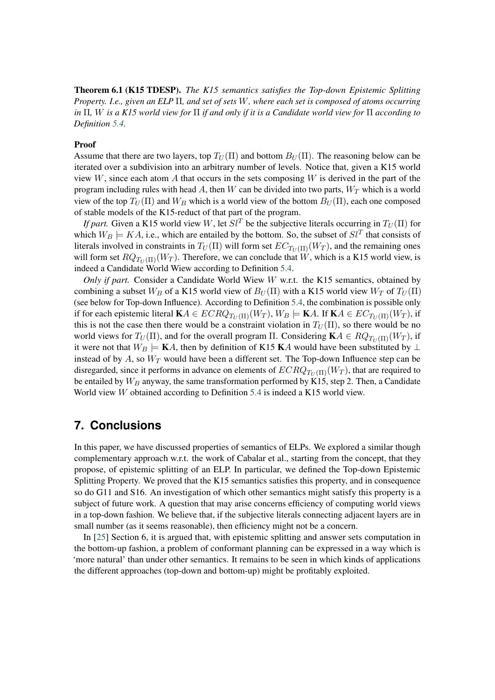Theorem 6.1 (K15 TDESP). *The K15 semantics satisfies the Top-down Epistemic Splitting Property. I.e., given an ELP* Π*, and set of sets , where each set is composed of atoms occurring in* Π*, is a K15 world view for* Π *if and only if it is a Candidate world view for* Π *according to Definition [5.4.](#page-8-0)*

#### Proof

Assume that there are two layers, top  $T_U(\Pi)$  and bottom  $B_U(\Pi)$ . The reasoning below can be iterated over a subdivision into an arbitrary number of levels. Notice that, given a K15 world view  $W$ , since each atom A that occurs in the sets composing  $W$  is derived in the part of the program including rules with head A, then W can be divided into two parts,  $W_T$  which is a world view of the top  $T_U(\Pi)$  and  $W_B$  which is a world view of the bottom  $B_U(\Pi)$ , each one composed of stable models of the K15-reduct of that part of the program.

*If part.* Given a K15 world view W, let  $\mathcal{S}l^{T}$  be the subjective literals occurring in  $T_U(\Pi)$  for which  $W_B \models KA$ , i.e., which are entailed by the bottom. So, the subset of  $Sl^T$  that consists of literals involved in constraints in  $T_U(\Pi)$  will form set  $EC_{T_U(\Pi)}(W_T)$ , and the remaining ones will form set  $RQ_{T_{\text{tr}}(\Pi)}(W_T)$ . Therefore, we can conclude that W, which is a K15 world view, is indeed a Candidate World Wiew according to Definition [5.4.](#page-8-0)

*Only if part.* Consider a Candidate World Wiew *W* w.r.t. the K15 semantics, obtained by combining a subset  $W_B$  of a K15 world view of  $B_U(\Pi)$  with a K15 world view  $W_T$  of  $T_U(\Pi)$ (see below for Top-down Influence). According to Definition [5.4,](#page-8-0) the combination is possible only if for each epistemic literal  $\mathbf{K} A \in ECRQ_{T_U(\Pi)}(W_T)$ ,  $W_B \models \mathbf{K} A$ . If  $\mathbf{K} A \in EC_{T_U(\Pi)}(W_T)$ , if this is not the case then there would be a constraint violation in  $T_U(\Pi)$ , so there would be no world views for  $T_U(\Pi)$ , and for the overall program  $\Pi$ . Considering  $\mathbf{K} A \in RQ_{T_U(\Pi)}(W_T)$ , if it were not that  $W_B = K A$ , then by definition of K15 KA would have been substituted by  $\perp$ instead of by  $A$ , so  $W_T$  would have been a different set. The Top-down Influence step can be disregarded, since it performs in advance on elements of  $ECRQ_{T_U(\Pi)}(W_T)$ , that are required to be entailed by  $W_B$  anyway, the same transformation performed by K15, step 2. Then, a Candidate World view  $W$  obtained according to Definition [5.4](#page-8-0) is indeed a K15 world view.

#### <span id="page-12-0"></span>**7. Conclusions**

In this paper, we have discussed properties of semantics of ELPs. We explored a similar though complementary approach w.r.t. the work of Cabalar et al., starting from the concept, that they propose, of epistemic splitting of an ELP. In particular, we defined the Top-down Epistemic Splitting Property. We proved that the K15 semantics satisfies this property, and in consequence so do G11 and S16. An investigation of which other semantics might satisfy this property is a subject of future work. A question that may arise concerns efficiency of computing world views in a top-down fashion. We believe that, if the subjective literals connecting adjacent layers are in small number (as it seems reasonable), then efficiency might not be a concern.

In [\[25\]](#page-14-9) Section 6, it is argued that, with epistemic splitting and answer sets computation in the bottom-up fashion, a problem of conformant planning can be expressed in a way which is 'more natural' than under other semantics. It remains to be seen in which kinds of applications the different approaches (top-down and bottom-up) might be profitably exploited.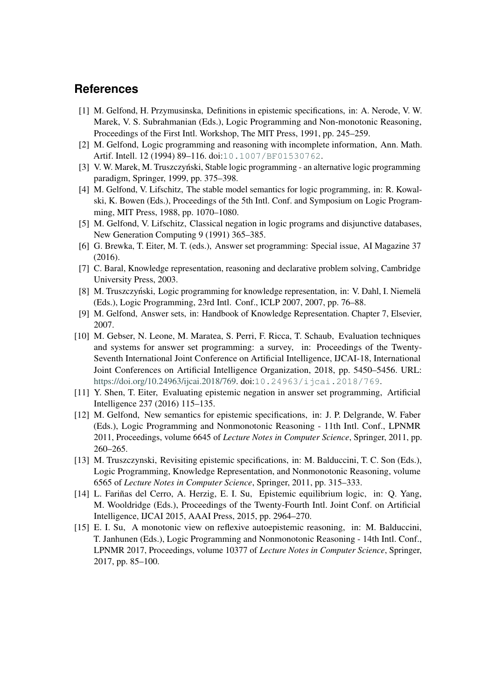#### **References**

- <span id="page-13-1"></span>[1] M. Gelfond, H. Przymusinska, Definitions in epistemic specifications, in: A. Nerode, V. W. Marek, V. S. Subrahmanian (Eds.), Logic Programming and Non-monotonic Reasoning, Proceedings of the First Intl. Workshop, The MIT Press, 1991, pp. 245–259.
- <span id="page-13-2"></span>[2] M. Gelfond, Logic programming and reasoning with incomplete information, Ann. Math. Artif. Intell. 12 (1994) 89-116. doi:[10.1007/BF01530762](http://dx.doi.org/10.1007/BF01530762).
- [3] V. W. Marek, M. Truszczyński, Stable logic programming an alternative logic programming paradigm, Springer, 1999, pp. 375–398.
- <span id="page-13-8"></span>[4] M. Gelfond, V. Lifschitz, The stable model semantics for logic programming, in: R. Kowalski, K. Bowen (Eds.), Proceedings of the 5th Intl. Conf. and Symposium on Logic Programming, MIT Press, 1988, pp. 1070–1080.
- [5] M. Gelfond, V. Lifschitz, Classical negation in logic programs and disjunctive databases, New Generation Computing 9 (1991) 365–385.
- <span id="page-13-7"></span>[6] G. Brewka, T. Eiter, M. T. (eds.), Answer set programming: Special issue, AI Magazine 37 (2016).
- [7] C. Baral, Knowledge representation, reasoning and declarative problem solving, Cambridge University Press, 2003.
- [8] M. Truszczyński, Logic programming for knowledge representation, in: V. Dahl, I. Niemelä (Eds.), Logic Programming, 23rd Intl. Conf., ICLP 2007, 2007, pp. 76–88.
- [9] M. Gelfond, Answer sets, in: Handbook of Knowledge Representation. Chapter 7, Elsevier, 2007.
- [10] M. Gebser, N. Leone, M. Maratea, S. Perri, F. Ricca, T. Schaub, Evaluation techniques and systems for answer set programming: a survey, in: Proceedings of the Twenty-Seventh International Joint Conference on Artificial Intelligence, IJCAI-18, International Joint Conferences on Artificial Intelligence Organization, 2018, pp. 5450–5456. URL: [https://doi.org/10.24963/ijcai.2018/769.](https://doi.org/10.24963/ijcai.2018/769) doi:[10.24963/ijcai.2018/769](http://dx.doi.org/10.24963/ijcai.2018/769).
- <span id="page-13-0"></span>[11] Y. Shen, T. Eiter, Evaluating epistemic negation in answer set programming, Artificial Intelligence 237 (2016) 115–135.
- <span id="page-13-3"></span>[12] M. Gelfond, New semantics for epistemic specifications, in: J. P. Delgrande, W. Faber (Eds.), Logic Programming and Nonmonotonic Reasoning - 11th Intl. Conf., LPNMR 2011, Proceedings, volume 6645 of *Lecture Notes in Computer Science*, Springer, 2011, pp. 260–265.
- <span id="page-13-4"></span>[13] M. Truszczynski, Revisiting epistemic specifications, in: M. Balduccini, T. C. Son (Eds.), Logic Programming, Knowledge Representation, and Nonmonotonic Reasoning, volume 6565 of *Lecture Notes in Computer Science*, Springer, 2011, pp. 315–333.
- <span id="page-13-5"></span>[14] L. Fariñas del Cerro, A. Herzig, E. I. Su, Epistemic equilibrium logic, in: Q. Yang, M. Wooldridge (Eds.), Proceedings of the Twenty-Fourth Intl. Joint Conf. on Artificial Intelligence, IJCAI 2015, AAAI Press, 2015, pp. 2964–270.
- <span id="page-13-6"></span>[15] E. I. Su, A monotonic view on reflexive autoepistemic reasoning, in: M. Balduccini, T. Janhunen (Eds.), Logic Programming and Nonmonotonic Reasoning - 14th Intl. Conf., LPNMR 2017, Proceedings, volume 10377 of *Lecture Notes in Computer Science*, Springer, 2017, pp. 85–100.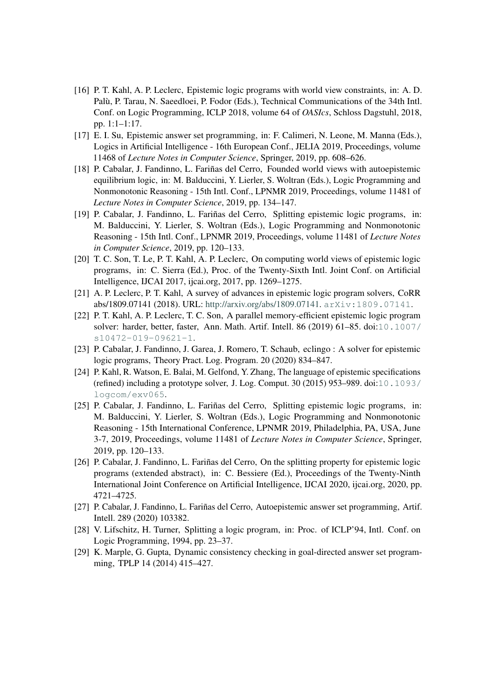- <span id="page-14-0"></span>[16] P. T. Kahl, A. P. Leclerc, Epistemic logic programs with world view constraints, in: A. D. Palù, P. Tarau, N. Saeedloei, P. Fodor (Eds.), Technical Communications of the 34th Intl. Conf. on Logic Programming, ICLP 2018, volume 64 of *OASIcs*, Schloss Dagstuhl, 2018, pp. 1:1–1:17.
- <span id="page-14-1"></span>[17] E. I. Su, Epistemic answer set programming, in: F. Calimeri, N. Leone, M. Manna (Eds.), Logics in Artificial Intelligence - 16th European Conf., JELIA 2019, Proceedings, volume 11468 of *Lecture Notes in Computer Science*, Springer, 2019, pp. 608–626.
- <span id="page-14-2"></span>[18] P. Cabalar, J. Fandinno, L. Fariñas del Cerro, Founded world views with autoepistemic equilibrium logic, in: M. Balduccini, Y. Lierler, S. Woltran (Eds.), Logic Programming and Nonmonotonic Reasoning - 15th Intl. Conf., LPNMR 2019, Proceedings, volume 11481 of *Lecture Notes in Computer Science*, 2019, pp. 134–147.
- <span id="page-14-3"></span>[19] P. Cabalar, J. Fandinno, L. Fariñas del Cerro, Splitting epistemic logic programs, in: M. Balduccini, Y. Lierler, S. Woltran (Eds.), Logic Programming and Nonmonotonic Reasoning - 15th Intl. Conf., LPNMR 2019, Proceedings, volume 11481 of *Lecture Notes in Computer Science*, 2019, pp. 120–133.
- <span id="page-14-4"></span>[20] T. C. Son, T. Le, P. T. Kahl, A. P. Leclerc, On computing world views of epistemic logic programs, in: C. Sierra (Ed.), Proc. of the Twenty-Sixth Intl. Joint Conf. on Artificial Intelligence, IJCAI 2017, ijcai.org, 2017, pp. 1269–1275.
- <span id="page-14-5"></span>[21] A. P. Leclerc, P. T. Kahl, A survey of advances in epistemic logic program solvers, CoRR abs/1809.07141 (2018). URL: [http://arxiv.org/abs/1809.07141.](http://arxiv.org/abs/1809.07141) [arXiv:1809.07141](http://arxiv.org/abs/1809.07141).
- <span id="page-14-6"></span>[22] P. T. Kahl, A. P. Leclerc, T. C. Son, A parallel memory-efficient epistemic logic program solver: harder, better, faster, Ann. Math. Artif. Intell. 86 (2019) 61–85. doi:[10.1007/](http://dx.doi.org/10.1007/s10472-019-09621-1) [s10472-019-09621-1](http://dx.doi.org/10.1007/s10472-019-09621-1).
- <span id="page-14-7"></span>[23] P. Cabalar, J. Fandinno, J. Garea, J. Romero, T. Schaub, eclingo : A solver for epistemic logic programs, Theory Pract. Log. Program. 20 (2020) 834–847.
- <span id="page-14-8"></span>[24] P. Kahl, R. Watson, E. Balai, M. Gelfond, Y. Zhang, The language of epistemic specifications (refined) including a prototype solver, J. Log. Comput. 30 (2015) 953–989. doi:[10.1093/](http://dx.doi.org/10.1093/logcom/exv065) [logcom/exv065](http://dx.doi.org/10.1093/logcom/exv065).
- <span id="page-14-9"></span>[25] P. Cabalar, J. Fandinno, L. Fariñas del Cerro, Splitting epistemic logic programs, in: M. Balduccini, Y. Lierler, S. Woltran (Eds.), Logic Programming and Nonmonotonic Reasoning - 15th International Conference, LPNMR 2019, Philadelphia, PA, USA, June 3-7, 2019, Proceedings, volume 11481 of *Lecture Notes in Computer Science*, Springer, 2019, pp. 120–133.
- <span id="page-14-10"></span>[26] P. Cabalar, J. Fandinno, L. Fariñas del Cerro, On the splitting property for epistemic logic programs (extended abstract), in: C. Bessiere (Ed.), Proceedings of the Twenty-Ninth International Joint Conference on Artificial Intelligence, IJCAI 2020, ijcai.org, 2020, pp. 4721–4725.
- <span id="page-14-11"></span>[27] P. Cabalar, J. Fandinno, L. Fariñas del Cerro, Autoepistemic answer set programming, Artif. Intell. 289 (2020) 103382.
- <span id="page-14-12"></span>[28] V. Lifschitz, H. Turner, Splitting a logic program, in: Proc. of ICLP'94, Intl. Conf. on Logic Programming, 1994, pp. 23–37.
- <span id="page-14-13"></span>[29] K. Marple, G. Gupta, Dynamic consistency checking in goal-directed answer set programming, TPLP 14 (2014) 415–427.